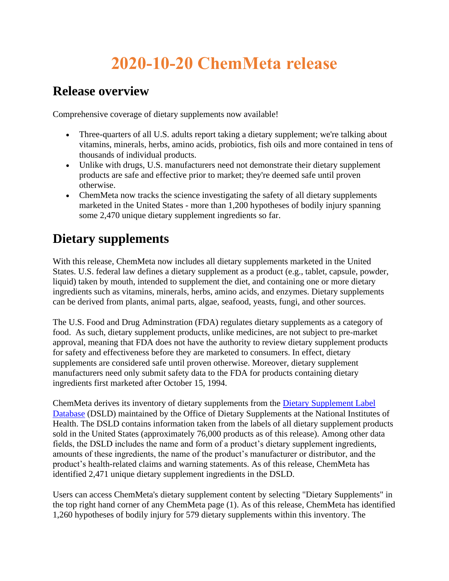## **2020-10-20 ChemMeta release**

## **Release overview**

Comprehensive coverage of dietary supplements now available!

- Three-quarters of all U.S. adults report taking a dietary supplement; we're talking about vitamins, minerals, herbs, amino acids, probiotics, fish oils and more contained in tens of thousands of individual products.
- Unlike with drugs, U.S. manufacturers need not demonstrate their dietary supplement products are safe and effective prior to market; they're deemed safe until proven otherwise.
- ChemMeta now tracks the science investigating the safety of all dietary supplements marketed in the United States - more than 1,200 hypotheses of bodily injury spanning some 2,470 unique dietary supplement ingredients so far.

## **Dietary supplements**

With this release, ChemMeta now includes all dietary supplements marketed in the United States. U.S. federal law defines a dietary supplement as a product (e.g., tablet, capsule, powder, liquid) taken by mouth, intended to supplement the diet, and containing one or more dietary ingredients such as vitamins, minerals, herbs, amino acids, and enzymes. Dietary supplements can be derived from plants, animal parts, algae, seafood, yeasts, fungi, and other sources.

The U.S. Food and Drug Adminstration (FDA) regulates dietary supplements as a category of food. As such, dietary supplement products, unlike medicines, are not subject to pre-market approval, meaning that FDA does not have the authority to review dietary supplement products for safety and effectiveness before they are marketed to consumers. In effect, dietary supplements are considered safe until proven otherwise. Moreover, dietary supplement manufacturers need only submit safety data to the FDA for products containing dietary ingredients first marketed after October 15, 1994.

ChemMeta derives its inventory of dietary supplements from the [Dietary Supplement Label](https://ods.od.nih.gov/Research/Dietary_Supplement_Label_Database.aspx)  [Database](https://ods.od.nih.gov/Research/Dietary_Supplement_Label_Database.aspx) (DSLD) maintained by the Office of Dietary Supplements at the National Institutes of Health. The DSLD contains information taken from the labels of all dietary supplement products sold in the United States (approximately 76,000 products as of this release). Among other data fields, the DSLD includes the name and form of a product's dietary supplement ingredients, amounts of these ingredients, the name of the product's manufacturer or distributor, and the product's health-related claims and warning statements. As of this release, ChemMeta has identified 2,471 unique dietary supplement ingredients in the DSLD.

Users can access ChemMeta's dietary supplement content by selecting "Dietary Supplements" in the top right hand corner of any ChemMeta page (1). As of this release, ChemMeta has identified 1,260 hypotheses of bodily injury for 579 dietary supplements within this inventory. The